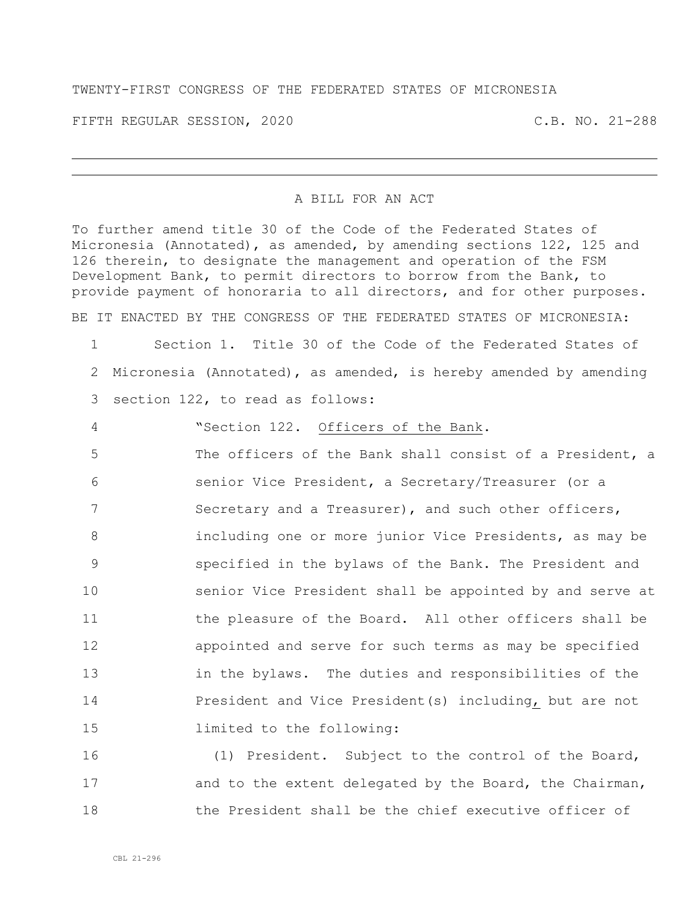## TWENTY-FIRST CONGRESS OF THE FEDERATED STATES OF MICRONESIA

FIFTH REGULAR SESSION, 2020 C.B. NO. 21-288

## A BILL FOR AN ACT

To further amend title 30 of the Code of the Federated States of Micronesia (Annotated), as amended, by amending sections 122, 125 and 126 therein, to designate the management and operation of the FSM Development Bank, to permit directors to borrow from the Bank, to provide payment of honoraria to all directors, and for other purposes. BE IT ENACTED BY THE CONGRESS OF THE FEDERATED STATES OF MICRONESIA:

1 Section 1. Title 30 of the Code of the Federated States of 2 Micronesia (Annotated), as amended, is hereby amended by amending 3 section 122, to read as follows:

 "Section 122. Officers of the Bank. The officers of the Bank shall consist of a President, a senior Vice President, a Secretary/Treasurer (or a 7 Secretary and a Treasurer), and such other officers, including one or more junior Vice Presidents, as may be specified in the bylaws of the Bank. The President and senior Vice President shall be appointed by and serve at 11 the pleasure of the Board. All other officers shall be appointed and serve for such terms as may be specified in the bylaws. The duties and responsibilities of the 14 President and Vice President(s) including, but are not limited to the following:

16 (1) President. Subject to the control of the Board, 17 and to the extent delegated by the Board, the Chairman, 18 the President shall be the chief executive officer of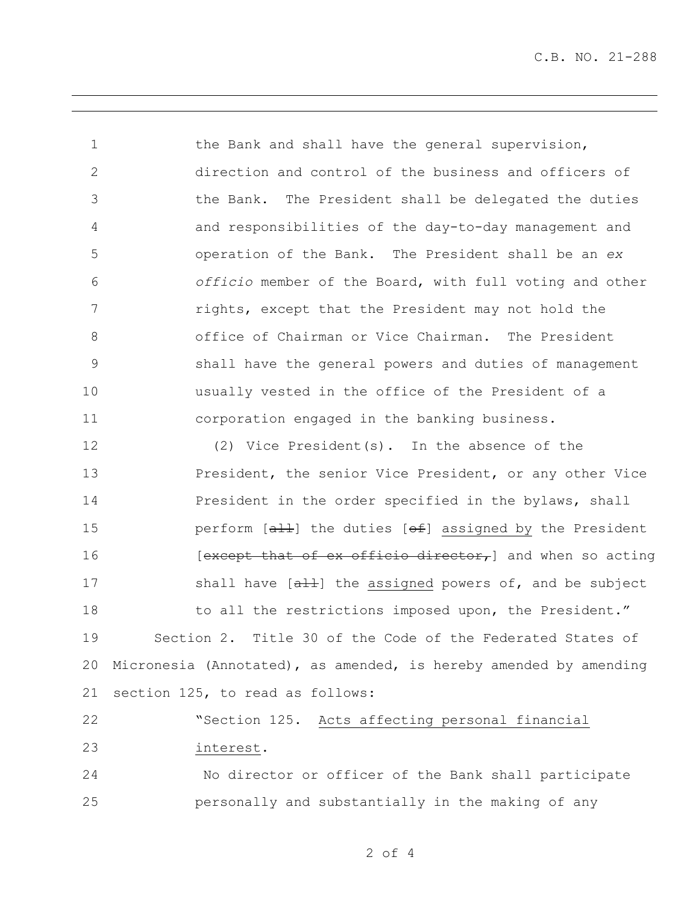C.B. NO. 21-288

1 the Bank and shall have the general supervision, direction and control of the business and officers of the Bank. The President shall be delegated the duties and responsibilities of the day-to-day management and operation of the Bank. The President shall be an *ex officio* member of the Board, with full voting and other rights, except that the President may not hold the office of Chairman or Vice Chairman. The President shall have the general powers and duties of management usually vested in the office of the President of a corporation engaged in the banking business. (2) Vice President(s). In the absence of the **President, the senior Vice President, or any other Vice** 14 President in the order specified in the bylaws, shall **perform**  $[a+1]$  the duties  $[ef]$  assigned by the President **Except that of ex officio director,** and when so acting 17 shall have [all] the assigned powers of, and be subject 18 to all the restrictions imposed upon, the President." Section 2. Title 30 of the Code of the Federated States of

 Micronesia (Annotated), as amended, is hereby amended by amending section 125, to read as follows:

 "Section 125. Acts affecting personal financial interest.

 No director or officer of the Bank shall participate personally and substantially in the making of any

of 4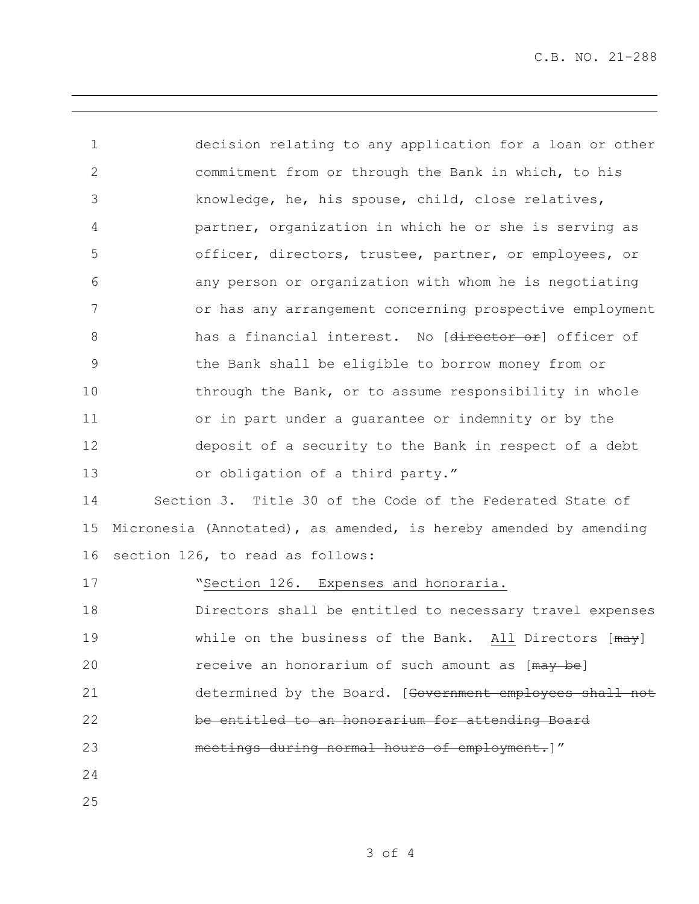decision relating to any application for a loan or other commitment from or through the Bank in which, to his knowledge, he, his spouse, child, close relatives, partner, organization in which he or she is serving as officer, directors, trustee, partner, or employees, or any person or organization with whom he is negotiating or has any arrangement concerning prospective employment 8 has a financial interest. No [director or] officer of the Bank shall be eligible to borrow money from or 10 through the Bank, or to assume responsibility in whole or in part under a guarantee or indemnity or by the deposit of a security to the Bank in respect of a debt or obligation of a third party." Section 3. Title 30 of the Code of the Federated State of Micronesia (Annotated), as amended, is hereby amended by amending section 126, to read as follows:

17 Section 126. Expenses and honoraria. Directors shall be entitled to necessary travel expenses 19 While on the business of the Bank. All Directors [ $\frac{mag}{}$ 20 receive an honorarium of such amount as [may be] 21 determined by the Board. [Government employees shall not be entitled to an honorarium for attending Board meetings during normal hours of employment.]" 

of 4